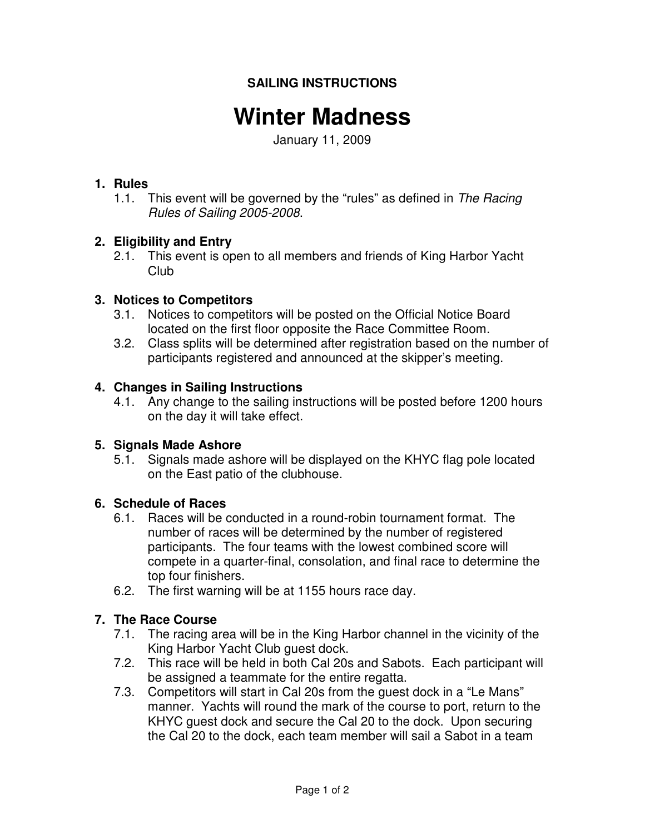## **SAILING INSTRUCTIONS**

# **Winter Madness**

January 11, 2009

## **1. Rules**

1.1. This event will be governed by the "rules" as defined in The Racing Rules of Sailing 2005-2008.

## **2. Eligibility and Entry**

2.1. This event is open to all members and friends of King Harbor Yacht Club

## **3. Notices to Competitors**

- 3.1. Notices to competitors will be posted on the Official Notice Board located on the first floor opposite the Race Committee Room.
- 3.2. Class splits will be determined after registration based on the number of participants registered and announced at the skipper's meeting.

## **4. Changes in Sailing Instructions**

4.1. Any change to the sailing instructions will be posted before 1200 hours on the day it will take effect.

## **5. Signals Made Ashore**

5.1. Signals made ashore will be displayed on the KHYC flag pole located on the East patio of the clubhouse.

## **6. Schedule of Races**

- 6.1. Races will be conducted in a round-robin tournament format. The number of races will be determined by the number of registered participants. The four teams with the lowest combined score will compete in a quarter-final, consolation, and final race to determine the top four finishers.
- 6.2. The first warning will be at 1155 hours race day.

## **7. The Race Course**

- 7.1. The racing area will be in the King Harbor channel in the vicinity of the King Harbor Yacht Club guest dock.
- 7.2. This race will be held in both Cal 20s and Sabots. Each participant will be assigned a teammate for the entire regatta.
- 7.3. Competitors will start in Cal 20s from the guest dock in a "Le Mans" manner. Yachts will round the mark of the course to port, return to the KHYC guest dock and secure the Cal 20 to the dock. Upon securing the Cal 20 to the dock, each team member will sail a Sabot in a team